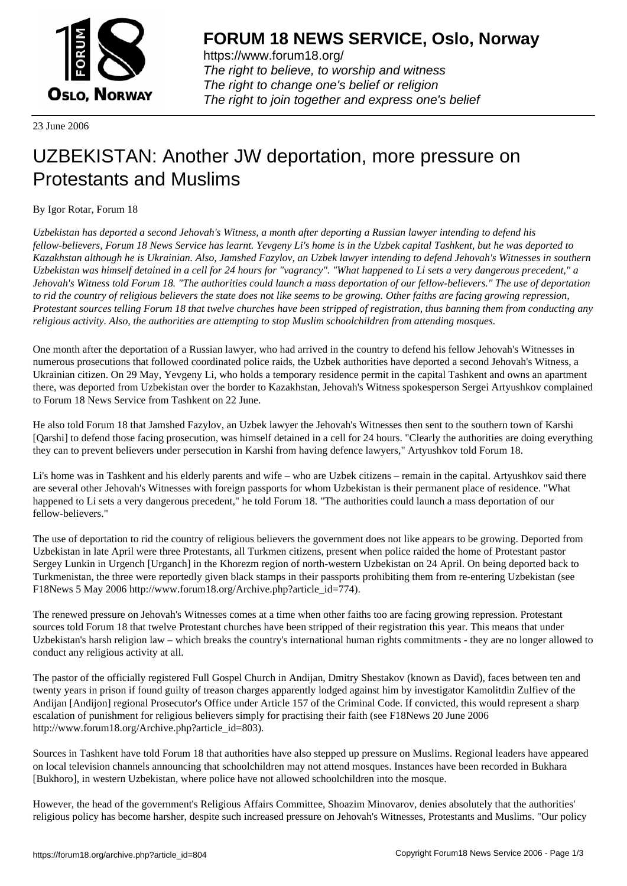

https://www.forum18.org/ The right to believe, to worship and witness The right to change one's belief or religion [The right to join together a](https://www.forum18.org/)nd express one's belief

23 June 2006

## [UZBEKISTAN:](https://www.forum18.org) Another JW deportation, more pressure on Protestants and Muslims

## By Igor Rotar, Forum 18

*Uzbekistan has deported a second Jehovah's Witness, a month after deporting a Russian lawyer intending to defend his fellow-believers, Forum 18 News Service has learnt. Yevgeny Li's home is in the Uzbek capital Tashkent, but he was deported to Kazakhstan although he is Ukrainian. Also, Jamshed Fazylov, an Uzbek lawyer intending to defend Jehovah's Witnesses in southern Uzbekistan was himself detained in a cell for 24 hours for "vagrancy". "What happened to Li sets a very dangerous precedent," a Jehovah's Witness told Forum 18. "The authorities could launch a mass deportation of our fellow-believers." The use of deportation to rid the country of religious believers the state does not like seems to be growing. Other faiths are facing growing repression, Protestant sources telling Forum 18 that twelve churches have been stripped of registration, thus banning them from conducting any religious activity. Also, the authorities are attempting to stop Muslim schoolchildren from attending mosques.*

One month after the deportation of a Russian lawyer, who had arrived in the country to defend his fellow Jehovah's Witnesses in numerous prosecutions that followed coordinated police raids, the Uzbek authorities have deported a second Jehovah's Witness, a Ukrainian citizen. On 29 May, Yevgeny Li, who holds a temporary residence permit in the capital Tashkent and owns an apartment there, was deported from Uzbekistan over the border to Kazakhstan, Jehovah's Witness spokesperson Sergei Artyushkov complained to Forum 18 News Service from Tashkent on 22 June.

He also told Forum 18 that Jamshed Fazylov, an Uzbek lawyer the Jehovah's Witnesses then sent to the southern town of Karshi [Qarshi] to defend those facing prosecution, was himself detained in a cell for 24 hours. "Clearly the authorities are doing everything they can to prevent believers under persecution in Karshi from having defence lawyers," Artyushkov told Forum 18.

Li's home was in Tashkent and his elderly parents and wife – who are Uzbek citizens – remain in the capital. Artyushkov said there are several other Jehovah's Witnesses with foreign passports for whom Uzbekistan is their permanent place of residence. "What happened to Li sets a very dangerous precedent," he told Forum 18. "The authorities could launch a mass deportation of our fellow-believers."

The use of deportation to rid the country of religious believers the government does not like appears to be growing. Deported from Uzbekistan in late April were three Protestants, all Turkmen citizens, present when police raided the home of Protestant pastor Sergey Lunkin in Urgench [Urganch] in the Khorezm region of north-western Uzbekistan on 24 April. On being deported back to Turkmenistan, the three were reportedly given black stamps in their passports prohibiting them from re-entering Uzbekistan (see F18News 5 May 2006 http://www.forum18.org/Archive.php?article\_id=774).

The renewed pressure on Jehovah's Witnesses comes at a time when other faiths too are facing growing repression. Protestant sources told Forum 18 that twelve Protestant churches have been stripped of their registration this year. This means that under Uzbekistan's harsh religion law – which breaks the country's international human rights commitments - they are no longer allowed to conduct any religious activity at all.

The pastor of the officially registered Full Gospel Church in Andijan, Dmitry Shestakov (known as David), faces between ten and twenty years in prison if found guilty of treason charges apparently lodged against him by investigator Kamolitdin Zulfiev of the Andijan [Andijon] regional Prosecutor's Office under Article 157 of the Criminal Code. If convicted, this would represent a sharp escalation of punishment for religious believers simply for practising their faith (see F18News 20 June 2006 http://www.forum18.org/Archive.php?article\_id=803).

Sources in Tashkent have told Forum 18 that authorities have also stepped up pressure on Muslims. Regional leaders have appeared on local television channels announcing that schoolchildren may not attend mosques. Instances have been recorded in Bukhara [Bukhoro], in western Uzbekistan, where police have not allowed schoolchildren into the mosque.

However, the head of the government's Religious Affairs Committee, Shoazim Minovarov, denies absolutely that the authorities' religious policy has become harsher, despite such increased pressure on Jehovah's Witnesses, Protestants and Muslims. "Our policy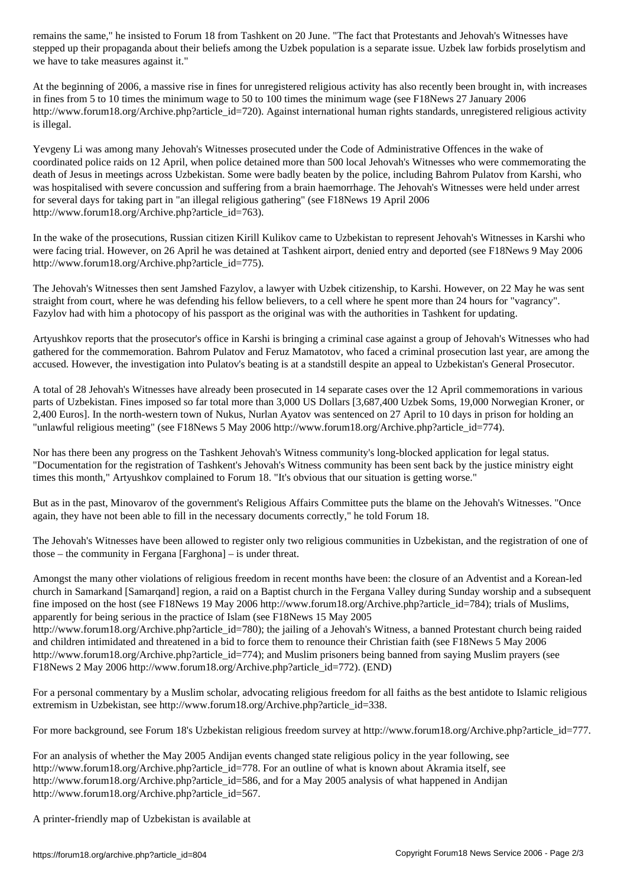stepped up their propaganda about their beliefs among the Uzbek population is a separate issue. Uzbek law forbids proselytism and we have to take measures against it."

At the beginning of 2006, a massive rise in fines for unregistered religious activity has also recently been brought in, with increases in fines from 5 to 10 times the minimum wage to 50 to 100 times the minimum wage (see F18News 27 January 2006 http://www.forum18.org/Archive.php?article\_id=720). Against international human rights standards, unregistered religious activity is illegal.

Yevgeny Li was among many Jehovah's Witnesses prosecuted under the Code of Administrative Offences in the wake of coordinated police raids on 12 April, when police detained more than 500 local Jehovah's Witnesses who were commemorating the death of Jesus in meetings across Uzbekistan. Some were badly beaten by the police, including Bahrom Pulatov from Karshi, who was hospitalised with severe concussion and suffering from a brain haemorrhage. The Jehovah's Witnesses were held under arrest for several days for taking part in "an illegal religious gathering" (see F18News 19 April 2006 http://www.forum18.org/Archive.php?article\_id=763).

In the wake of the prosecutions, Russian citizen Kirill Kulikov came to Uzbekistan to represent Jehovah's Witnesses in Karshi who were facing trial. However, on 26 April he was detained at Tashkent airport, denied entry and deported (see F18News 9 May 2006 http://www.forum18.org/Archive.php?article\_id=775).

The Jehovah's Witnesses then sent Jamshed Fazylov, a lawyer with Uzbek citizenship, to Karshi. However, on 22 May he was sent straight from court, where he was defending his fellow believers, to a cell where he spent more than 24 hours for "vagrancy". Fazylov had with him a photocopy of his passport as the original was with the authorities in Tashkent for updating.

Artyushkov reports that the prosecutor's office in Karshi is bringing a criminal case against a group of Jehovah's Witnesses who had gathered for the commemoration. Bahrom Pulatov and Feruz Mamatotov, who faced a criminal prosecution last year, are among the accused. However, the investigation into Pulatov's beating is at a standstill despite an appeal to Uzbekistan's General Prosecutor.

A total of 28 Jehovah's Witnesses have already been prosecuted in 14 separate cases over the 12 April commemorations in various parts of Uzbekistan. Fines imposed so far total more than 3,000 US Dollars [3,687,400 Uzbek Soms, 19,000 Norwegian Kroner, or 2,400 Euros]. In the north-western town of Nukus, Nurlan Ayatov was sentenced on 27 April to 10 days in prison for holding an "unlawful religious meeting" (see F18News 5 May 2006 http://www.forum18.org/Archive.php?article\_id=774).

Nor has there been any progress on the Tashkent Jehovah's Witness community's long-blocked application for legal status. "Documentation for the registration of Tashkent's Jehovah's Witness community has been sent back by the justice ministry eight times this month," Artyushkov complained to Forum 18. "It's obvious that our situation is getting worse."

But as in the past, Minovarov of the government's Religious Affairs Committee puts the blame on the Jehovah's Witnesses. "Once again, they have not been able to fill in the necessary documents correctly," he told Forum 18.

The Jehovah's Witnesses have been allowed to register only two religious communities in Uzbekistan, and the registration of one of those – the community in Fergana [Farghona] – is under threat.

Amongst the many other violations of religious freedom in recent months have been: the closure of an Adventist and a Korean-led church in Samarkand [Samarqand] region, a raid on a Baptist church in the Fergana Valley during Sunday worship and a subsequent fine imposed on the host (see F18News 19 May 2006 http://www.forum18.org/Archive.php?article\_id=784); trials of Muslims, apparently for being serious in the practice of Islam (see F18News 15 May 2005

http://www.forum18.org/Archive.php?article\_id=780); the jailing of a Jehovah's Witness, a banned Protestant church being raided and children intimidated and threatened in a bid to force them to renounce their Christian faith (see F18News 5 May 2006 http://www.forum18.org/Archive.php?article\_id=774); and Muslim prisoners being banned from saying Muslim prayers (see F18News 2 May 2006 http://www.forum18.org/Archive.php?article\_id=772). (END)

For a personal commentary by a Muslim scholar, advocating religious freedom for all faiths as the best antidote to Islamic religious extremism in Uzbekistan, see http://www.forum18.org/Archive.php?article\_id=338.

For more background, see Forum 18's Uzbekistan religious freedom survey at http://www.forum18.org/Archive.php?article\_id=777.

For an analysis of whether the May 2005 Andijan events changed state religious policy in the year following, see http://www.forum18.org/Archive.php?article\_id=778. For an outline of what is known about Akramia itself, see http://www.forum18.org/Archive.php?article\_id=586, and for a May 2005 analysis of what happened in Andijan http://www.forum18.org/Archive.php?article\_id=567.

A printer-friendly map of Uzbekistan is available at